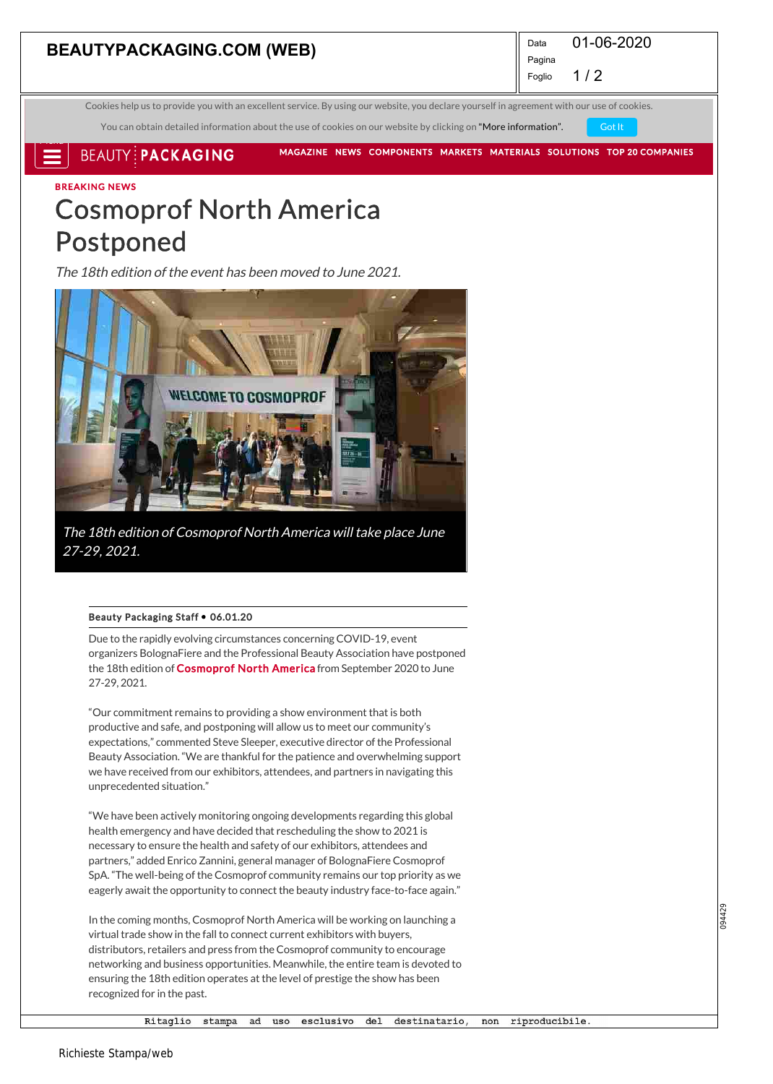## **BEAUTYPACKAGING.COM (WEB)** Data

01-06-2020

 $1/2$ Foglio

Pagina

SUBSCRIBE FREE Cookies help us to provide you with an excellent service. By using our website, you declare yourself in agreement with our use of cookies.

You can obtain detailed information about the use of cookies on our website by clicking on "More information". Got It

**BEAUTY: PACKAGING** 

MAGAZINE NEWS COMPONENTS MARKETS MATERIALS SOLUTIONS TOP 20 COMPANIES

BREAKING NEWS

2 J Menu

## Cosmoprof North America Postponed

The 18th edition of the event has been moved to June 2021.



The 18th edition of Cosmoprof North America will take place June 27-29, 2021.

#### Beauty Packaging Staff . 06.01.20

Due to the rapidly evolving circumstances concerning COVID-19, event organizers BolognaFiere and the Professional Beauty Association have postponed the 18th edition of Cosmoprof North America from September 2020 to June 27-29, 2021.

"Our commitment remains to providing a show environment that is both productive and safe, and postponing will allow us to meet our community's expectations," commented Steve Sleeper, executive director of the Professional Beauty Association. "We are thankful for the patience and overwhelming support we have received from our exhibitors, attendees, and partners in navigating this unprecedented situation."

"We have been actively monitoring ongoing developments regarding this global health emergency and have decided that rescheduling the show to 2021 is necessary to ensure the health and safety of our exhibitors, attendees and partners," added Enrico Zannini, general manager of BolognaFiere Cosmoprof SpA. "The well-being of the Cosmoprof community remains our top priority as we eagerly await the opportunity to connect the beauty industry face-to-face again."

In the coming months, Cosmoprof North America will be working on launching a virtual trade show in the fall to connect current exhibitors with buyers, distributors, retailers and press from the Cosmoprof community to encourage networking and business opportunities. Meanwhile, the entire team is devoted to ensuring the 18th edition operates at the level of prestige the show has been recognized for in the past.